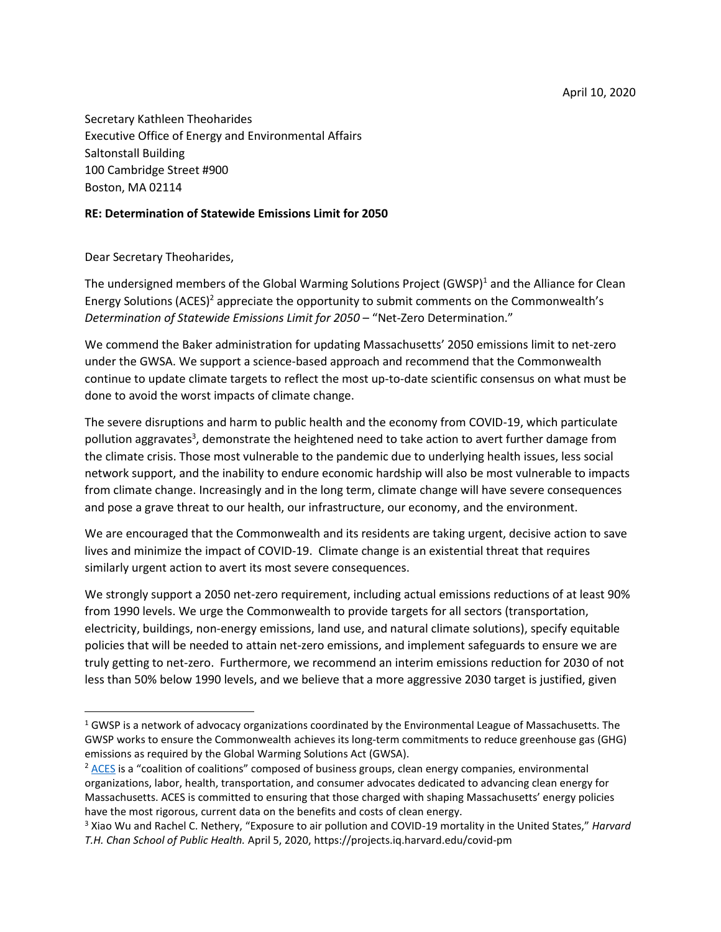Secretary Kathleen Theoharides Executive Office of Energy and Environmental Affairs Saltonstall Building 100 Cambridge Street #900 Boston, MA 02114

## **RE: Determination of Statewide Emissions Limit for 2050**

Dear Secretary Theoharides,

 $\overline{\phantom{a}}$ 

The undersigned members of the Global Warming Solutions Project (GWSP)<sup>1</sup> and the Alliance for Clean Energy Solutions (ACES)<sup>2</sup> appreciate the opportunity to submit comments on the Commonwealth's *Determination of Statewide Emissions Limit for 2050* – "Net-Zero Determination."

We commend the Baker administration for updating Massachusetts' 2050 emissions limit to net-zero under the GWSA. We support a science-based approach and recommend that the Commonwealth continue to update climate targets to reflect the most up-to-date scientific consensus on what must be done to avoid the worst impacts of climate change.

The severe disruptions and harm to public health and the economy from COVID-19, which particulate pollution aggravates<sup>3</sup>, demonstrate the heightened need to take action to avert further damage from the climate crisis. Those most vulnerable to the pandemic due to underlying health issues, less social network support, and the inability to endure economic hardship will also be most vulnerable to impacts from climate change. Increasingly and in the long term, climate change will have severe consequences and pose a grave threat to our health, our infrastructure, our economy, and the environment.

We are encouraged that the Commonwealth and its residents are taking urgent, decisive action to save lives and minimize the impact of COVID-19. Climate change is an existential threat that requires similarly urgent action to avert its most severe consequences.

We strongly support a 2050 net-zero requirement, including actual emissions reductions of at least 90% from 1990 levels. We urge the Commonwealth to provide targets for all sectors (transportation, electricity, buildings, non-energy emissions, land use, and natural climate solutions), specify equitable policies that will be needed to attain net-zero emissions, and implement safeguards to ensure we are truly getting to net-zero. Furthermore, we recommend an interim emissions reduction for 2030 of not less than 50% below 1990 levels, and we believe that a more aggressive 2030 target is justified, given

<sup>&</sup>lt;sup>1</sup> GWSP is a network of advocacy organizations coordinated by the Environmental League of Massachusetts. The GWSP works to ensure the Commonwealth achieves its long-term commitments to reduce greenhouse gas (GHG) emissions as required by the Global Warming Solutions Act (GWSA).

 $2$  [ACES](https://www.acesma.net/) is a "coalition of coalitions" composed of business groups, clean energy companies, environmental organizations, labor, health, transportation, and consumer advocates dedicated to advancing clean energy for Massachusetts. ACES is committed to ensuring that those charged with shaping Massachusetts' energy policies have the most rigorous, current data on the benefits and costs of clean energy.

<sup>3</sup> Xiao Wu and Rachel C. Nethery, "Exposure to air pollution and COVID-19 mortality in the United States," *Harvard T.H. Chan School of Public Health.* April 5, 2020, https://projects.iq.harvard.edu/covid-pm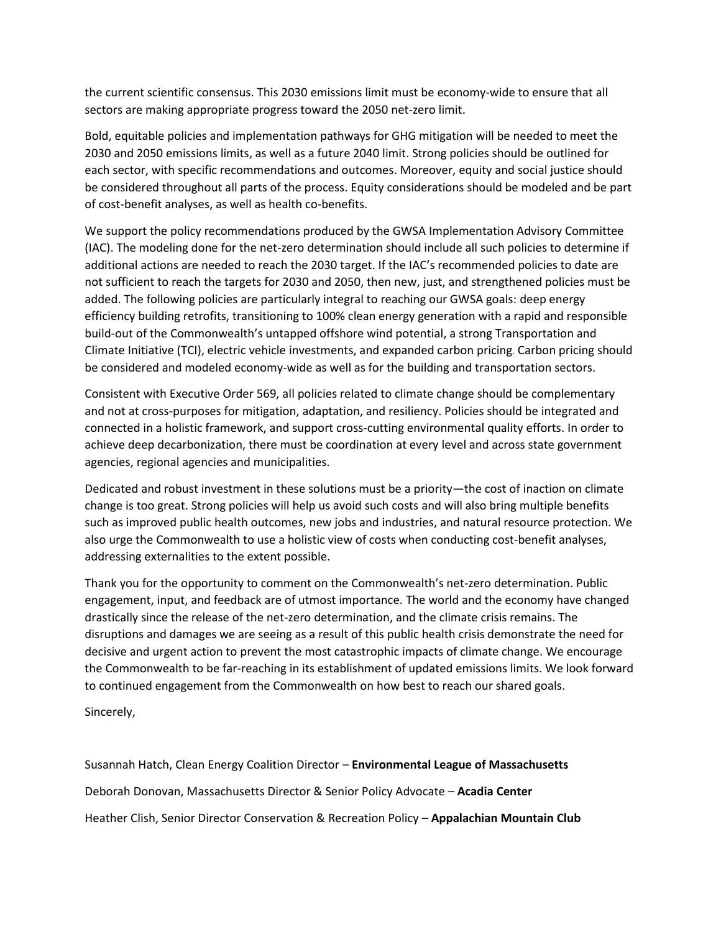the current scientific consensus. This 2030 emissions limit must be economy-wide to ensure that all sectors are making appropriate progress toward the 2050 net-zero limit.

Bold, equitable policies and implementation pathways for GHG mitigation will be needed to meet the 2030 and 2050 emissions limits, as well as a future 2040 limit. Strong policies should be outlined for each sector, with specific recommendations and outcomes. Moreover, equity and social justice should be considered throughout all parts of the process. Equity considerations should be modeled and be part of cost-benefit analyses, as well as health co-benefits.

We support the policy recommendations produced by the GWSA Implementation Advisory Committee (IAC). The modeling done for the net-zero determination should include all such policies to determine if additional actions are needed to reach the 2030 target. If the IAC's recommended policies to date are not sufficient to reach the targets for 2030 and 2050, then new, just, and strengthened policies must be added. The following policies are particularly integral to reaching our GWSA goals: deep energy efficiency building retrofits, transitioning to 100% clean energy generation with a rapid and responsible build-out of the Commonwealth's untapped offshore wind potential, a strong Transportation and Climate Initiative (TCI), electric vehicle investments, and expanded carbon pricing. Carbon pricing should be considered and modeled economy-wide as well as for the building and transportation sectors.

Consistent with Executive Order 569, all policies related to climate change should be complementary and not at cross-purposes for mitigation, adaptation, and resiliency. Policies should be integrated and connected in a holistic framework, and support cross-cutting environmental quality efforts. In order to achieve deep decarbonization, there must be coordination at every level and across state government agencies, regional agencies and municipalities.

Dedicated and robust investment in these solutions must be a priority—the cost of inaction on climate change is too great. Strong policies will help us avoid such costs and will also bring multiple benefits such as improved public health outcomes, new jobs and industries, and natural resource protection. We also urge the Commonwealth to use a holistic view of costs when conducting cost-benefit analyses, addressing externalities to the extent possible.

Thank you for the opportunity to comment on the Commonwealth's net-zero determination. Public engagement, input, and feedback are of utmost importance. The world and the economy have changed drastically since the release of the net-zero determination, and the climate crisis remains. The disruptions and damages we are seeing as a result of this public health crisis demonstrate the need for decisive and urgent action to prevent the most catastrophic impacts of climate change. We encourage the Commonwealth to be far-reaching in its establishment of updated emissions limits. We look forward to continued engagement from the Commonwealth on how best to reach our shared goals.

Sincerely,

Susannah Hatch, Clean Energy Coalition Director – **Environmental League of Massachusetts** Deborah Donovan, Massachusetts Director & Senior Policy Advocate – **Acadia Center** Heather Clish, Senior Director Conservation & Recreation Policy – **Appalachian Mountain Club**